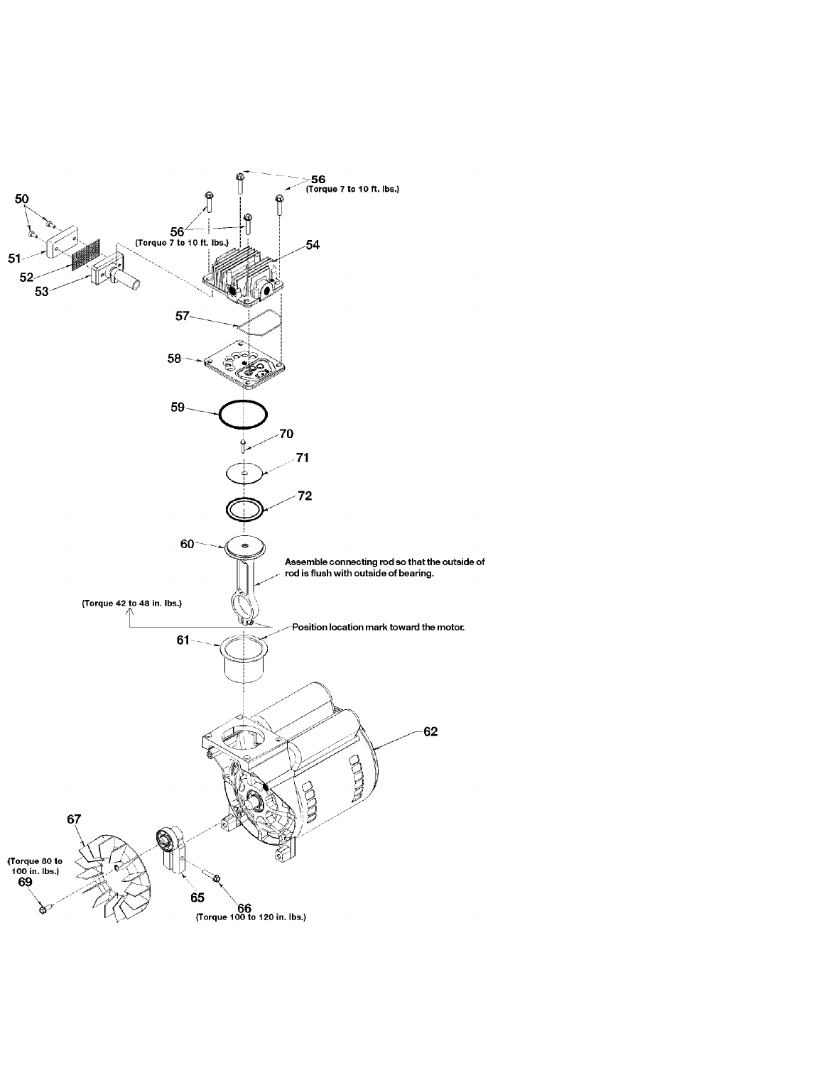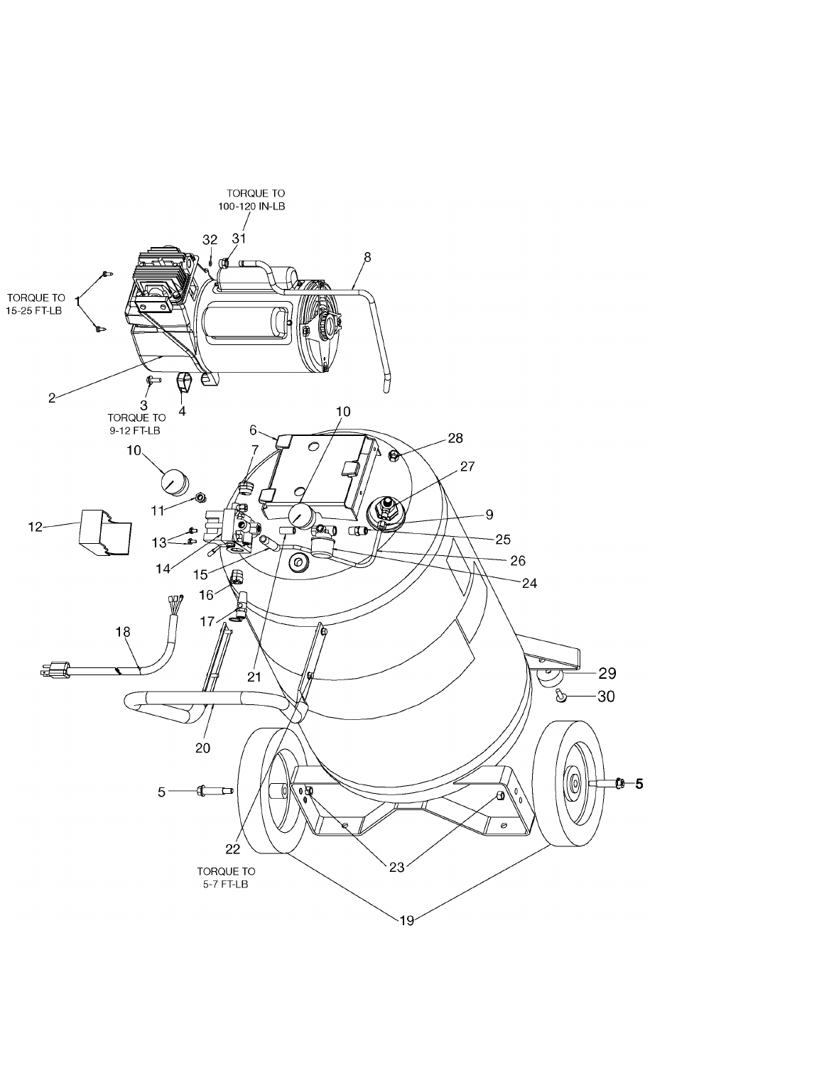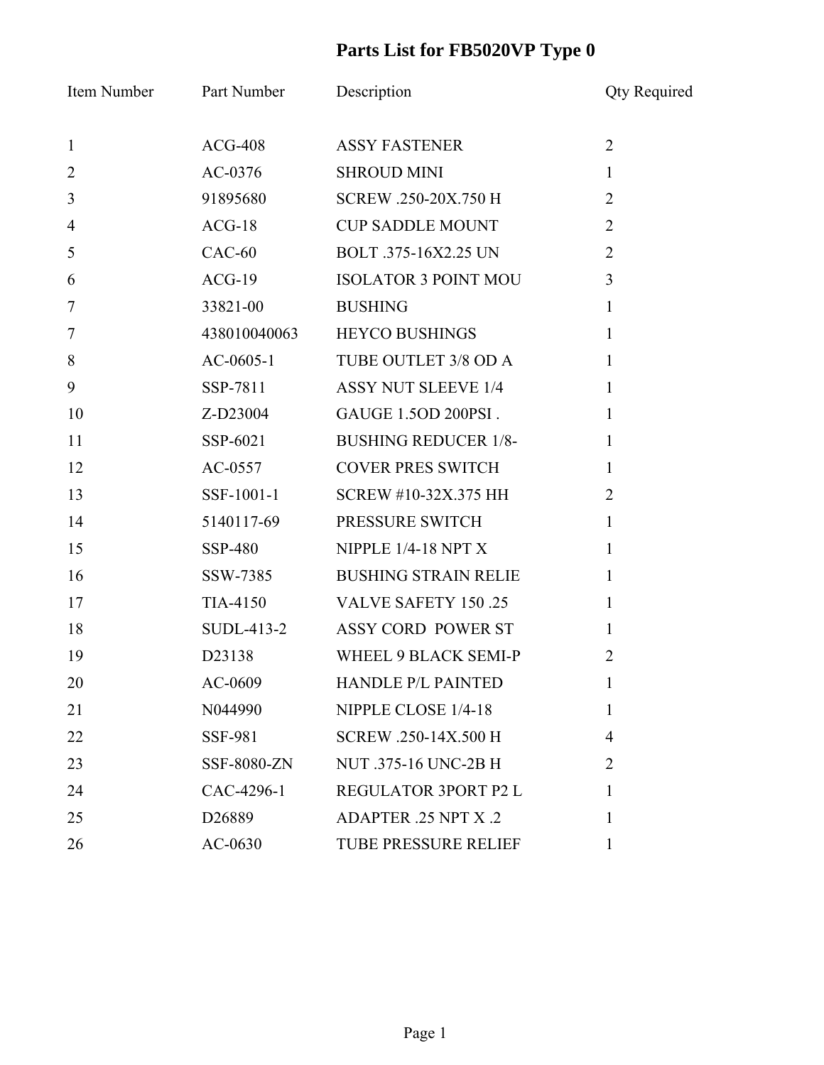## **Parts List for FB5020VP Type 0**

|                | Item Number Part Number | Description                   | <b>Qty Required</b> |
|----------------|-------------------------|-------------------------------|---------------------|
| $\mathbf{1}$   | $ACG-408$               | <b>ASSY FASTENER</b>          | $\overline{2}$      |
| $\overline{2}$ | AC-0376                 | <b>SHROUD MINI</b>            | $\mathbf{1}$        |
| $\mathfrak{Z}$ | 91895680                | SCREW .250-20X.750 H          | $\overline{2}$      |
| $\overline{4}$ | $ACG-18$                | <b>CUP SADDLE MOUNT</b>       | $\overline{2}$      |
| 5              | $CAC-60$                | BOLT .375-16X2.25 UN          | $\overline{2}$      |
| 6              | $ACG-19$                | <b>ISOLATOR 3 POINT MOU</b>   | $\overline{3}$      |
| $\overline{7}$ | 33821-00                | <b>BUSHING</b>                | $\mathbf{1}$        |
| $\overline{7}$ | 438010040063            | <b>HEYCO BUSHINGS</b>         | $\mathbf{1}$        |
| 8              | $AC-0605-1$             | TUBE OUTLET 3/8 OD A          | $\mathbf{1}$        |
| 9              | SSP-7811                | <b>ASSY NUT SLEEVE 1/4</b>    | $\mathbf{1}$        |
| 10             | Z-D23004                | GAUGE 1.5OD 200PSI.           | $\mathbf{1}$        |
| 11             | SSP-6021                | <b>BUSHING REDUCER 1/8-</b>   | $\mathbf{1}$        |
| 12             | $AC-0557$               | <b>COVER PRES SWITCH</b>      | $\mathbf{1}$        |
| 13             | SSF-1001-1              | SCREW #10-32X.375 HH          | $\overline{2}$      |
| 14             | 5140117-69              | PRESSURE SWITCH               | $\mathbf{1}$        |
| 15             | SSP-480                 | NIPPLE $1/4-18$ NPT X         | $\mathbf{1}$        |
| 16             | SSW-7385                | <b>BUSHING STRAIN RELIE</b>   | $\mathbf{1}$        |
| 17             |                         | TIA-4150 VALVE SAFETY 150 .25 | $\mathbf{1}$        |
| 18             |                         | SUDL-413-2 ASSY CORD POWER ST | $\mathbf{1}$        |
| 19             | D23138                  | WHEEL 9 BLACK SEMI-P          | $\overline{2}$      |
| 20             | AC-0609                 | <b>HANDLE P/L PAINTED</b>     | $\mathbf{I}$        |
| 21             | N044990                 | NIPPLE CLOSE 1/4-18           | 1                   |
| 22             | <b>SSF-981</b>          | SCREW .250-14X.500 H          | $\overline{4}$      |
| 23             | SSF-8080-ZN             | <b>NUT</b> .375-16 UNC-2B H   | $\overline{2}$      |
| 24             | CAC-4296-1              | REGULATOR 3PORT P2 L          | 1                   |
| 25             | D <sub>26889</sub>      | ADAPTER .25 NPT X .2          | 1                   |
| 26             | AC-0630                 | <b>TUBE PRESSURE RELIEF</b>   | 1                   |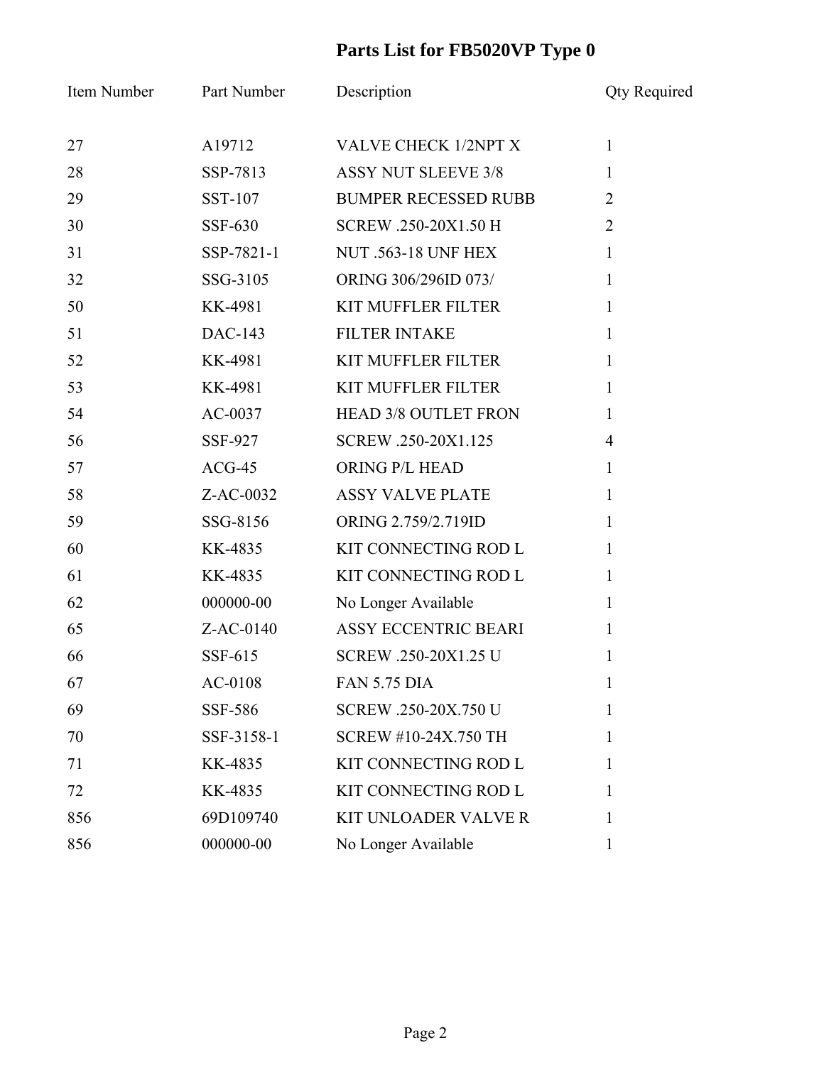## **Parts List for FB5020VP Type 0**

| Item Number | Part Number    | Description                 | <b>Qty Required</b> |
|-------------|----------------|-----------------------------|---------------------|
| 27          | A19712         | <b>VALVE CHECK 1/2NPT X</b> | $\mathbf{1}$        |
| 28          | SSP-7813       | <b>ASSY NUT SLEEVE 3/8</b>  | $\mathbf{1}$        |
| 29          | SST-107        | <b>BUMPER RECESSED RUBB</b> | $\overline{2}$      |
| 30          | <b>SSF-630</b> | SCREW .250-20X1.50 H        | $\overline{2}$      |
| 31          | SSP-7821-1     | <b>NUT .563-18 UNF HEX</b>  | $\mathbf{1}$        |
| 32          | SSG-3105       | ORING 306/296ID 073/        | $\mathbf{1}$        |
| 50          | KK-4981        | <b>KIT MUFFLER FILTER</b>   | $\mathbf{1}$        |
| 51          | DAC-143        | <b>FILTER INTAKE</b>        | $\mathbf{1}$        |
| 52          | KK-4981        | <b>KIT MUFFLER FILTER</b>   | $\mathbf{1}$        |
| 53          | KK-4981        | <b>KIT MUFFLER FILTER</b>   | $\mathbf{1}$        |
| 54          | $AC-0037$      | <b>HEAD 3/8 OUTLET FRON</b> | $\mathbf{1}$        |
| 56          | SSF-927        | SCREW .250-20X1.125         | $\overline{4}$      |
| 57          | $ACG-45$       | ORING P/L HEAD              | $\mathbf{1}$        |
| 58          | Z-AC-0032      | <b>ASSY VALVE PLATE</b>     | $\mathbf{1}$        |
| 59          | SSG-8156       | ORING 2.759/2.719ID         | $\mathbf{1}$        |
| 60          | KK-4835        | KIT CONNECTING ROD L        | $\mathbf{1}$        |
| 61          | KK-4835        | KIT CONNECTING ROD L        | $\mathbf{1}$        |
| 62          | 000000-00      | No Longer Available         | 1                   |
| 65          | $Z$ -AC-0140   | ASSY ECCENTRIC BEARI        | $\mathbf{1}$        |
| 66          | SSF-615        | SCREW .250-20X1.25 U        | 1                   |
| 67          | AC-0108        | <b>FAN 5.75 DIA</b>         | $\mathbf{I}$        |
| 69          | SSF-586        | SCREW .250-20X.750 U        | 1                   |
| 70          | SSF-3158-1     | SCREW #10-24X.750 TH        | 1                   |
| 71          | KK-4835        | KIT CONNECTING ROD L        | 1                   |
| 72          | KK-4835        | KIT CONNECTING ROD L        | 1                   |
| 856         | 69D109740      | <b>KIT UNLOADER VALVE R</b> | 1                   |
| 856         | 000000-00      | No Longer Available         | 1                   |